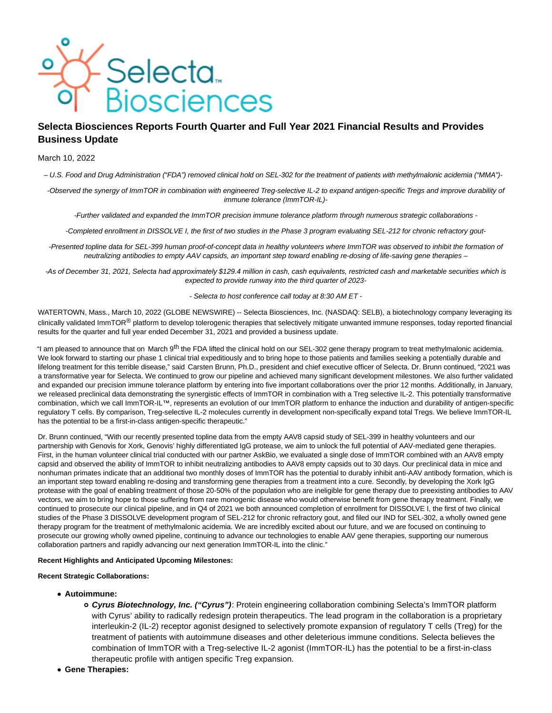

# **Selecta Biosciences Reports Fourth Quarter and Full Year 2021 Financial Results and Provides Business Update**

### March 10, 2022

– U.S. Food and Drug Administration ("FDA") removed clinical hold on SEL-302 for the treatment of patients with methylmalonic acidemia ("MMA")-

-Observed the synergy of ImmTOR in combination with engineered Treg-selective IL-2 to expand antigen-specific Tregs and improve durability of immune tolerance (ImmTOR-IL)-

-Further validated and expanded the ImmTOR precision immune tolerance platform through numerous strategic collaborations -

-Completed enrollment in DISSOLVE I, the first of two studies in the Phase 3 program evaluating SEL-212 for chronic refractory gout-

-Presented topline data for SEL-399 human proof-of-concept data in healthy volunteers where ImmTOR was observed to inhibit the formation of neutralizing antibodies to empty AAV capsids, an important step toward enabling re-dosing of life-saving gene therapies –

-As of December 31, 2021, Selecta had approximately \$129.4 million in cash, cash equivalents, restricted cash and marketable securities which is expected to provide runway into the third quarter of 2023-

- Selecta to host conference call today at 8:30 AM ET -

WATERTOWN, Mass., March 10, 2022 (GLOBE NEWSWIRE) -- Selecta Biosciences, Inc. (NASDAQ: SELB), a biotechnology company leveraging its clinically validated ImmTOR® platform to develop tolerogenic therapies that selectively mitigate unwanted immune responses, today reported financial results for the quarter and full year ended December 31, 2021 and provided a business update.

"I am pleased to announce that on March 9<sup>th</sup> the FDA lifted the clinical hold on our SEL-302 gene therapy program to treat methylmalonic acidemia. We look forward to starting our phase 1 clinical trial expeditiously and to bring hope to those patients and families seeking a potentially durable and lifelong treatment for this terrible disease," said Carsten Brunn, Ph.D., president and chief executive officer of Selecta. Dr. Brunn continued, "2021 was a transformative year for Selecta. We continued to grow our pipeline and achieved many significant development milestones. We also further validated and expanded our precision immune tolerance platform by entering into five important collaborations over the prior 12 months. Additionally, in January, we released preclinical data demonstrating the synergistic effects of ImmTOR in combination with a Treg selective IL-2. This potentially transformative combination, which we call ImmTOR-IL™, represents an evolution of our ImmTOR platform to enhance the induction and durability of antigen-specific regulatory T cells. By comparison, Treg-selective IL-2 molecules currently in development non-specifically expand total Tregs. We believe ImmTOR-IL has the potential to be a first-in-class antigen-specific therapeutic."

Dr. Brunn continued, "With our recently presented topline data from the empty AAV8 capsid study of SEL-399 in healthy volunteers and our partnership with Genovis for Xork, Genovis' highly differentiated IgG protease, we aim to unlock the full potential of AAV-mediated gene therapies. First, in the human volunteer clinical trial conducted with our partner AskBio, we evaluated a single dose of ImmTOR combined with an AAV8 empty capsid and observed the ability of ImmTOR to inhibit neutralizing antibodies to AAV8 empty capsids out to 30 days. Our preclinical data in mice and nonhuman primates indicate that an additional two monthly doses of ImmTOR has the potential to durably inhibit anti-AAV antibody formation, which is an important step toward enabling re-dosing and transforming gene therapies from a treatment into a cure. Secondly, by developing the Xork IgG protease with the goal of enabling treatment of those 20-50% of the population who are ineligible for gene therapy due to preexisting antibodies to AAV vectors, we aim to bring hope to those suffering from rare monogenic disease who would otherwise benefit from gene therapy treatment. Finally, we continued to prosecute our clinical pipeline, and in Q4 of 2021 we both announced completion of enrollment for DISSOLVE I, the first of two clinical studies of the Phase 3 DISSOLVE development program of SEL-212 for chronic refractory gout, and filed our IND for SEL-302, a wholly owned gene therapy program for the treatment of methylmalonic acidemia. We are incredibly excited about our future, and we are focused on continuing to prosecute our growing wholly owned pipeline, continuing to advance our technologies to enable AAV gene therapies, supporting our numerous collaboration partners and rapidly advancing our next generation ImmTOR-IL into the clinic."

#### **Recent Highlights and Anticipated Upcoming Milestones:**

#### **Recent Strategic Collaborations:**

- **Autoimmune:**
	- **Cyrus Biotechnology, Inc. ("Cyrus")**: Protein engineering collaboration combining Selecta's ImmTOR platform with Cyrus' ability to radically redesign protein therapeutics. The lead program in the collaboration is a proprietary interleukin-2 (IL-2) receptor agonist designed to selectively promote expansion of regulatory T cells (Treg) for the treatment of patients with autoimmune diseases and other deleterious immune conditions. Selecta believes the combination of ImmTOR with a Treg-selective IL-2 agonist (ImmTOR-IL) has the potential to be a first-in-class therapeutic profile with antigen specific Treg expansion.
- **Gene Therapies:**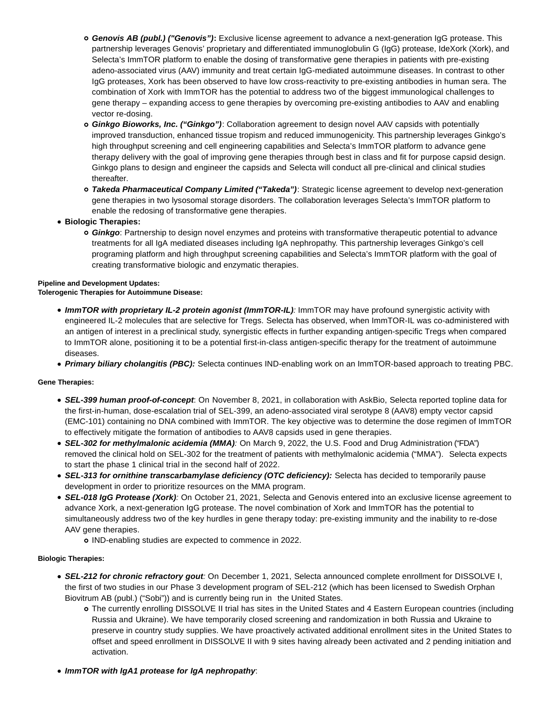- **Genovis AB (publ.) ("Genovis"):** Exclusive license agreement to advance a next-generation IgG protease. This partnership leverages Genovis' proprietary and differentiated immunoglobulin G (IgG) protease, IdeXork (Xork), and Selecta's ImmTOR platform to enable the dosing of transformative gene therapies in patients with pre-existing adeno-associated virus (AAV) immunity and treat certain IgG-mediated autoimmune diseases. In contrast to other IgG proteases, Xork has been observed to have low cross-reactivity to pre-existing antibodies in human sera. The combination of Xork with ImmTOR has the potential to address two of the biggest immunological challenges to gene therapy – expanding access to gene therapies by overcoming pre-existing antibodies to AAV and enabling vector re-dosing.
- **Ginkgo Bioworks, Inc. ("Ginkgo")**: Collaboration agreement to design novel AAV capsids with potentially improved transduction, enhanced tissue tropism and reduced immunogenicity. This partnership leverages Ginkgo's high throughput screening and cell engineering capabilities and Selecta's ImmTOR platform to advance gene therapy delivery with the goal of improving gene therapies through best in class and fit for purpose capsid design. Ginkgo plans to design and engineer the capsids and Selecta will conduct all pre-clinical and clinical studies thereafter.
- **Takeda Pharmaceutical Company Limited ("Takeda")**: Strategic license agreement to develop next-generation gene therapies in two lysosomal storage disorders. The collaboration leverages Selecta's ImmTOR platform to enable the redosing of transformative gene therapies.
- **Biologic Therapies:**
	- **Ginkgo**: Partnership to design novel enzymes and proteins with transformative therapeutic potential to advance treatments for all IgA mediated diseases including IgA nephropathy. This partnership leverages Ginkgo's cell programing platform and high throughput screening capabilities and Selecta's ImmTOR platform with the goal of creating transformative biologic and enzymatic therapies.

# **Pipeline and Development Updates:**

# **Tolerogenic Therapies for Autoimmune Disease:**

- **ImmTOR with proprietary IL-2 protein agonist (ImmTOR-IL)**: ImmTOR may have profound synergistic activity with engineered IL-2 molecules that are selective for Tregs. Selecta has observed, when ImmTOR-IL was co-administered with an antigen of interest in a preclinical study, synergistic effects in further expanding antigen-specific Tregs when compared to ImmTOR alone, positioning it to be a potential first-in-class antigen-specific therapy for the treatment of autoimmune diseases.
- **Primary biliary cholangitis (PBC):** Selecta continues IND-enabling work on an ImmTOR-based approach to treating PBC.

# **Gene Therapies:**

- **SEL-399 human proof-of-concept**: On November 8, 2021, in collaboration with AskBio, Selecta reported topline data for the first-in-human, dose-escalation trial of SEL-399, an adeno-associated viral serotype 8 (AAV8) empty vector capsid (EMC-101) containing no DNA combined with ImmTOR. The key objective was to determine the dose regimen of ImmTOR to effectively mitigate the formation of antibodies to AAV8 capsids used in gene therapies.
- **SEL-302 for methylmalonic acidemia (MMA)**: On March 9, 2022, the U.S. Food and Drug Administration ("FDA") removed the clinical hold on SEL-302 for the treatment of patients with methylmalonic acidemia ("MMA"). Selecta expects to start the phase 1 clinical trial in the second half of 2022.
- **SEL-313 for ornithine transcarbamylase deficiency (OTC deficiency):** Selecta has decided to temporarily pause development in order to prioritize resources on the MMA program.
- **SEL-018 IgG Protease (Xork)**: On October 21, 2021, Selecta and Genovis entered into an exclusive license agreement to advance Xork, a next-generation IgG protease. The novel combination of Xork and ImmTOR has the potential to simultaneously address two of the key hurdles in gene therapy today: pre-existing immunity and the inability to re-dose AAV gene therapies.
	- IND-enabling studies are expected to commence in 2022.

# **Biologic Therapies:**

- **SEL-212 for chronic refractory gout**: On December 1, 2021, Selecta announced complete enrollment for DISSOLVE I, the first of two studies in our Phase 3 development program of SEL-212 (which has been licensed to Swedish Orphan Biovitrum AB (publ.) ("Sobi")) and is currently being run in the United States.
	- The currently enrolling DISSOLVE II trial has sites in the United States and 4 Eastern European countries (including Russia and Ukraine). We have temporarily closed screening and randomization in both Russia and Ukraine to preserve in country study supplies. We have proactively activated additional enrollment sites in the United States to offset and speed enrollment in DISSOLVE II with 9 sites having already been activated and 2 pending initiation and activation.
- **ImmTOR with IgA1 protease for IgA nephropathy**: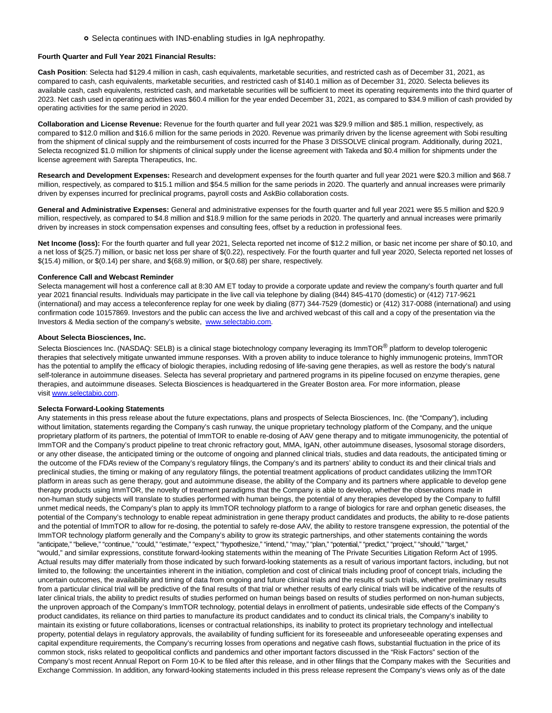#### o Selecta continues with IND-enabling studies in IgA nephropathy.

#### **Fourth Quarter and Full Year 2021 Financial Results:**

**Cash Position**: Selecta had \$129.4 million in cash, cash equivalents, marketable securities, and restricted cash as of December 31, 2021, as compared to cash, cash equivalents, marketable securities, and restricted cash of \$140.1 million as of December 31, 2020. Selecta believes its available cash, cash equivalents, restricted cash, and marketable securities will be sufficient to meet its operating requirements into the third quarter of 2023. Net cash used in operating activities was \$60.4 million for the year ended December 31, 2021, as compared to \$34.9 million of cash provided by operating activities for the same period in 2020.

**Collaboration and License Revenue:** Revenue for the fourth quarter and full year 2021 was \$29.9 million and \$85.1 million, respectively, as compared to \$12.0 million and \$16.6 million for the same periods in 2020. Revenue was primarily driven by the license agreement with Sobi resulting from the shipment of clinical supply and the reimbursement of costs incurred for the Phase 3 DISSOLVE clinical program. Additionally, during 2021, Selecta recognized \$1.0 million for shipments of clinical supply under the license agreement with Takeda and \$0.4 million for shipments under the license agreement with Sarepta Therapeutics, Inc.

**Research and Development Expenses:** Research and development expenses for the fourth quarter and full year 2021 were \$20.3 million and \$68.7 million, respectively, as compared to \$15.1 million and \$54.5 million for the same periods in 2020. The quarterly and annual increases were primarily driven by expenses incurred for preclinical programs, payroll costs and AskBio collaboration costs.

**General and Administrative Expenses:** General and administrative expenses for the fourth quarter and full year 2021 were \$5.5 million and \$20.9 million, respectively, as compared to \$4.8 million and \$18.9 million for the same periods in 2020. The quarterly and annual increases were primarily driven by increases in stock compensation expenses and consulting fees, offset by a reduction in professional fees.

**Net Income (loss):** For the fourth quarter and full year 2021, Selecta reported net income of \$12.2 million, or basic net income per share of \$0.10, and a net loss of \$(25.7) million, or basic net loss per share of \$(0.22), respectively. For the fourth quarter and full year 2020, Selecta reported net losses of \$(15.4) million, or \$(0.14) per share, and \$(68.9) million, or \$(0.68) per share, respectively.

#### **Conference Call and Webcast Reminder**

Selecta management will host a conference call at 8:30 AM ET today to provide a corporate update and review the company's fourth quarter and full year 2021 financial results. Individuals may participate in the live call via telephone by dialing (844) 845-4170 (domestic) or (412) 717-9621 (international) and may access a teleconference replay for one week by dialing (877) 344-7529 (domestic) or (412) 317-0088 (international) and using confirmation code 10157869. Investors and the public can access the live and archived webcast of this call and a copy of the presentation via the Investors & Media section of the company's website, [www.selectabio.com.](https://www.globenewswire.com/Tracker?data=4FC4CcGaL6We_Hp_qM_2HH1mHPvOQ8Tqrt1PKxQZtOfmFbM5GXmn8cTRC5ueBI1ovrOwixUlC3eqVRm6LUSViTemxHOJizW7vDYPMq41rxY=)

#### **About Selecta Biosciences, Inc.**

Selecta Biosciences Inc. (NASDAQ: SELB) is a clinical stage biotechnology company leveraging its ImmTOR<sup>®</sup> platform to develop tolerogenic therapies that selectively mitigate unwanted immune responses. With a proven ability to induce tolerance to highly immunogenic proteins, ImmTOR has the potential to amplify the efficacy of biologic therapies, including redosing of life-saving gene therapies, as well as restore the body's natural self-tolerance in autoimmune diseases. Selecta has several proprietary and partnered programs in its pipeline focused on enzyme therapies, gene therapies, and autoimmune diseases. Selecta Biosciences is headquartered in the Greater Boston area. For more information, please visit [www.selectabio.com.](https://www.globenewswire.com/Tracker?data=4FC4CcGaL6We_Hp_qM_2HObXWTpA-THyBrYabVBpM2zIWbuB5bFAPOTumrcwLKvWeQ57UzK2dBd0dcyGJhEZuPAHUesyxy2KggyAGD4xXkE=)

#### **Selecta Forward-Looking Statements**

Any statements in this press release about the future expectations, plans and prospects of Selecta Biosciences, Inc. (the "Company"), including without limitation, statements regarding the Company's cash runway, the unique proprietary technology platform of the Company, and the unique proprietary platform of its partners, the potential of ImmTOR to enable re-dosing of AAV gene therapy and to mitigate immunogenicity, the potential of ImmTOR and the Company's product pipeline to treat chronic refractory gout, MMA, IgAN, other autoimmune diseases, lysosomal storage disorders, or any other disease, the anticipated timing or the outcome of ongoing and planned clinical trials, studies and data readouts, the anticipated timing or the outcome of the FDA's review of the Company's regulatory filings, the Company's and its partners' ability to conduct its and their clinical trials and preclinical studies, the timing or making of any regulatory filings, the potential treatment applications of product candidates utilizing the ImmTOR platform in areas such as gene therapy, gout and autoimmune disease, the ability of the Company and its partners where applicable to develop gene therapy products using ImmTOR, the novelty of treatment paradigms that the Company is able to develop, whether the observations made in non-human study subjects will translate to studies performed with human beings, the potential of any therapies developed by the Company to fulfill unmet medical needs, the Company's plan to apply its ImmTOR technology platform to a range of biologics for rare and orphan genetic diseases, the potential of the Company's technology to enable repeat administration in gene therapy product candidates and products, the ability to re-dose patients and the potential of ImmTOR to allow for re-dosing, the potential to safely re-dose AAV, the ability to restore transgene expression, the potential of the ImmTOR technology platform generally and the Company's ability to grow its strategic partnerships, and other statements containing the words "anticipate," "believe," "continue," "could," "estimate," "expect," "hypothesize," "intend," "may," "plan," "potential," "predict," "project," "should," "target," "would," and similar expressions, constitute forward-looking statements within the meaning of The Private Securities Litigation Reform Act of 1995. Actual results may differ materially from those indicated by such forward-looking statements as a result of various important factors, including, but not limited to, the following: the uncertainties inherent in the initiation, completion and cost of clinical trials including proof of concept trials, including the uncertain outcomes, the availability and timing of data from ongoing and future clinical trials and the results of such trials, whether preliminary results from a particular clinical trial will be predictive of the final results of that trial or whether results of early clinical trials will be indicative of the results of later clinical trials, the ability to predict results of studies performed on human beings based on results of studies performed on non-human subjects, the unproven approach of the Company's ImmTOR technology, potential delays in enrollment of patients, undesirable side effects of the Company's product candidates, its reliance on third parties to manufacture its product candidates and to conduct its clinical trials, the Company's inability to maintain its existing or future collaborations, licenses or contractual relationships, its inability to protect its proprietary technology and intellectual property, potential delays in regulatory approvals, the availability of funding sufficient for its foreseeable and unforeseeable operating expenses and capital expenditure requirements, the Company's recurring losses from operations and negative cash flows, substantial fluctuation in the price of its common stock, risks related to geopolitical conflicts and pandemics and other important factors discussed in the "Risk Factors" section of the Company's most recent Annual Report on Form 10-K to be filed after this release, and in other filings that the Company makes with the Securities and Exchange Commission. In addition, any forward-looking statements included in this press release represent the Company's views only as of the date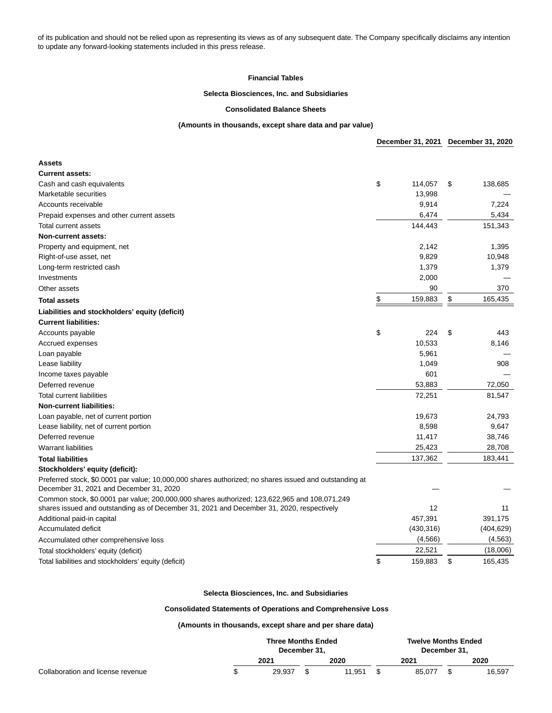of its publication and should not be relied upon as representing its views as of any subsequent date. The Company specifically disclaims any intention to update any forward-looking statements included in this press release.

#### **Financial Tables**

## **Selecta Biosciences, Inc. and Subsidiaries**

### **Consolidated Balance Sheets**

#### **(Amounts in thousands, except share data and par value)**

|                                                                                                                                                   | December 31, 2021 |    | December 31, 2020 |  |
|---------------------------------------------------------------------------------------------------------------------------------------------------|-------------------|----|-------------------|--|
| <b>Assets</b>                                                                                                                                     |                   |    |                   |  |
| <b>Current assets:</b>                                                                                                                            |                   |    |                   |  |
| Cash and cash equivalents                                                                                                                         | \$<br>114,057     | \$ | 138,685           |  |
| Marketable securities                                                                                                                             | 13,998            |    |                   |  |
| Accounts receivable                                                                                                                               | 9,914             |    | 7,224             |  |
| Prepaid expenses and other current assets                                                                                                         | 6,474             |    | 5,434             |  |
| Total current assets                                                                                                                              | 144,443           |    | 151,343           |  |
| Non-current assets:                                                                                                                               |                   |    |                   |  |
| Property and equipment, net                                                                                                                       | 2,142             |    | 1,395             |  |
| Right-of-use asset, net                                                                                                                           | 9,829             |    | 10,948            |  |
| Long-term restricted cash                                                                                                                         | 1,379             |    | 1,379             |  |
| Investments                                                                                                                                       | 2,000             |    |                   |  |
| Other assets                                                                                                                                      | 90                |    | 370               |  |
| <b>Total assets</b>                                                                                                                               | \$<br>159,883     | \$ | 165,435           |  |
| Liabilities and stockholders' equity (deficit)                                                                                                    |                   |    |                   |  |
| <b>Current liabilities:</b>                                                                                                                       |                   |    |                   |  |
| Accounts payable                                                                                                                                  | \$<br>224         | \$ | 443               |  |
| Accrued expenses                                                                                                                                  | 10,533            |    | 8,146             |  |
| Loan payable                                                                                                                                      | 5,961             |    |                   |  |
| Lease liability                                                                                                                                   | 1,049             |    | 908               |  |
| Income taxes payable                                                                                                                              | 601               |    |                   |  |
| Deferred revenue                                                                                                                                  | 53,883            |    | 72,050            |  |
| <b>Total current liabilities</b>                                                                                                                  | 72,251            |    | 81,547            |  |
| <b>Non-current liabilities:</b>                                                                                                                   |                   |    |                   |  |
| Loan payable, net of current portion                                                                                                              | 19,673            |    | 24,793            |  |
| Lease liability, net of current portion                                                                                                           | 8,598             |    | 9,647             |  |
| Deferred revenue                                                                                                                                  | 11,417            |    | 38,746            |  |
| <b>Warrant liabilities</b>                                                                                                                        | 25,423            |    | 28,708            |  |
| <b>Total liabilities</b>                                                                                                                          | 137,362           |    | 183,441           |  |
| Stockholders' equity (deficit):                                                                                                                   |                   |    |                   |  |
| Preferred stock, \$0.0001 par value; 10,000,000 shares authorized; no shares issued and outstanding at<br>December 31, 2021 and December 31, 2020 |                   |    |                   |  |
| Common stock, \$0.0001 par value; 200,000,000 shares authorized; 123,622,965 and 108,071,249                                                      |                   |    |                   |  |
| shares issued and outstanding as of December 31, 2021 and December 31, 2020, respectively                                                         | 12                |    | 11                |  |
| Additional paid-in capital                                                                                                                        | 457,391           |    | 391,175           |  |
| Accumulated deficit                                                                                                                               | (430, 316)        |    | (404, 629)        |  |
| Accumulated other comprehensive loss                                                                                                              | (4, 566)          |    | (4, 563)          |  |
| Total stockholders' equity (deficit)                                                                                                              | 22,521            |    | (18,006)          |  |
| Total liabilities and stockholders' equity (deficit)                                                                                              | \$<br>159,883     | \$ | 165,435           |  |

#### **Selecta Biosciences, Inc. and Subsidiaries**

## **Consolidated Statements of Operations and Comprehensive Loss**

#### **(Amounts in thousands, except share and per share data)**

|                                   | <b>Three Months Ended</b><br>December 31. |  |        | <b>Twelve Months Ended</b><br>December 31. |        |  |        |
|-----------------------------------|-------------------------------------------|--|--------|--------------------------------------------|--------|--|--------|
|                                   | 2021                                      |  | 2020   |                                            | 2021   |  | 2020   |
| Collaboration and license revenue | 29.937                                    |  | 11.951 |                                            | 85.077 |  | 16.597 |